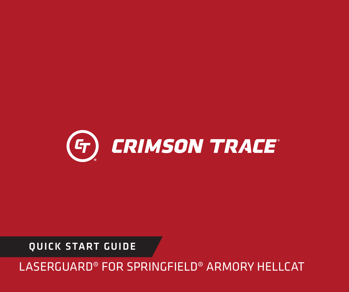# LASERGUARD® FOR SPRINGFIELD® ARMORY HELLCAT

QUICK START GUIDE

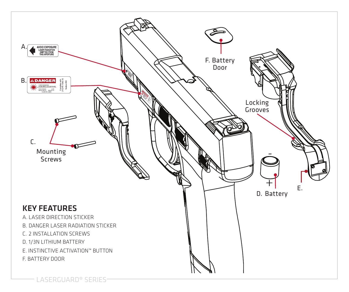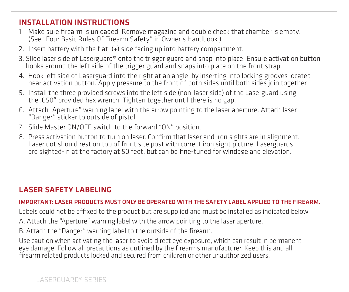## INSTALLATION INSTRUCTIONS

- 1. Make sure firearm is unloaded. Remove magazine and double check that chamber is empty. (See "Four Basic Rules Of Firearm Safety" in Owner's Handbook.)
- 2. Insert battery with the flat, (+) side facing up into battery compartment.
- 3. Slide laser side of Laserguard® onto the trigger guard and snap into place. Ensure activation button hooks around the left side of the trigger guard and snaps into place on the front strap.
- 4. Hook left side of Laserguard into the right at an angle, by inserting into locking grooves located near activation button. Apply pressure to the front of both sides until both sides join together.
- 5. Install the three provided screws into the left side (non-laser side) of the Laserguard using the .050" provided hex wrench. Tighten together until there is no gap.
- 6. Attach "Aperture" warning label with the arrow pointing to the laser aperture. Attach laser "Danger" sticker to outside of pistol.
- 7. Slide Master ON/OFF switch to the forward "ON" position.
- 8. Press activation button to turn on laser. Confirm that laser and iron sights are in alignment. Laser dot should rest on top of front site post with correct iron sight picture. Laserguards are sighted-in at the factory at 50 feet, but can be fine-tuned for windage and elevation.

# LASER SAFETY LABELING

#### IMPORTANT: LASER PRODUCTS MUST ONLY BE OPERATED WITH THE SAFETY LABEL APPLIED TO THE FIREARM.

Labels could not be affixed to the product but are supplied and must be installed as indicated below:

A. Attach the "Aperture" warning label with the arrow pointing to the laser aperture.

B. Attach the "Danger" warning label to the outside of the firearm.

Use caution when activating the laser to avoid direct eye exposure, which can result in permanent eye damage. Follow all precautions as outlined by the firearms manufacturer. Keep this and all firearm related products locked and secured from children or other unauthorized users.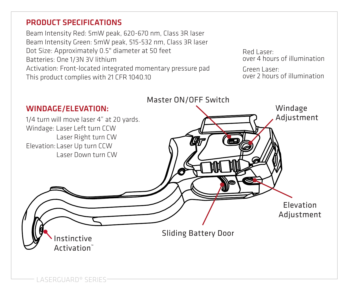## PRODUCT SPECIFICATIONS

Beam Intensity Red: 5mW peak, 620-670 nm, Class 3R laser Beam Intensity Green: 5mW peak, 515-532 nm, Class 3R laser Dot Size: Approximately 0.5" diameter at 50 feet Batteries: One 1/3N 3V lithium Activation: Front-located integrated momentary pressure pad This product complies with 21 CFR 1040.10

Red Laser: over 4 hours of illumination Green Laser: over 2 hours of illumination

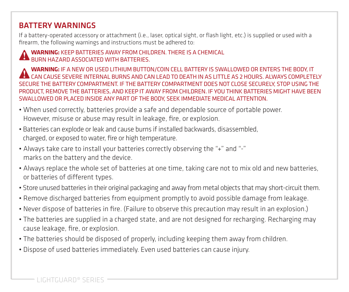## BATTERY WARNINGS

If a battery-operated accessory or attachment (i.e., laser, optical sight, or flash light, etc.) is supplied or used with a firearm, the following warnings and instructions must be adhered to:



#### **WARNING:** KEEP BATTERIES AWAY FROM CHILDREN. THERE IS A CHEMICAL BURN HAZARD ASSOCIATED WITH BATTERIES.

**WARNING:** IF A NEW OR USED LITHIUM BUTTON/COIN CELL BATTERY IS SWALLOWED OR ENTERS THE BODY, IT **AN CAN CAUSE SEVERE INTERNAL BURNS AND CAN LEAD TO DEATH IN AS LITTLE AS 2 HOURS. ALWAYS COMPLETELY** SECURE THE BATTERY COMPARTMENT. IF THE BATTERY COMPARTMENT DOES NOT CLOSE SECURELY, STOP USING THE PRODUCT, REMOVE THE BATTERIES, AND KEEP IT AWAY FROM CHILDREN. IF YOU THINK BATTERIES MIGHT HAVE BEEN SWALLOWED OR PLACED INSIDE ANY PART OF THE BODY, SEEK IMMEDIATE MEDICAL ATTENTION.

- When used correctly, batteries provide a safe and dependable source of portable power. However, misuse or abuse may result in leakage, fire, or explosion.
- Batteries can explode or leak and cause burns if installed backwards, disassembled, charged, or exposed to water, fire or high temperature.
- Always take care to install your batteries correctly observing the "+" and "-" marks on the battery and the device.
- Always replace the whole set of batteries at one time, taking care not to mix old and new batteries, or batteries of different types.
- Store unused batteries in their original packaging and away from metal objects that may short-circuit them.
- Remove discharged batteries from equipment promptly to avoid possible damage from leakage.
- Never dispose of batteries in fire. (Failure to observe this precaution may result in an explosion.)
- The batteries are supplied in a charged state, and are not designed for recharging. Recharging may cause leakage, fire, or explosion.
- The batteries should be disposed of properly, including keeping them away from children.
- Dispose of used batteries immediately. Even used batteries can cause injury.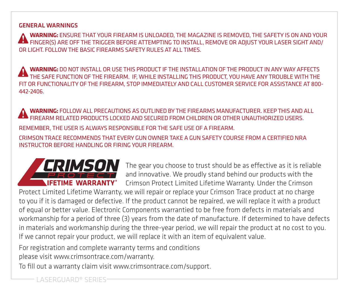#### GENERAL WARNINGS

**WARNING:** ENSURE THAT YOUR FIREARM IS UNLOADED, THE MAGAZINE IS REMOVED, THE SAFETY IS ON AND YOUR FINGER(S) ARE OFF THE TRIGGER BEFORE ATTEMPTING TO INSTALL, REMOVE OR ADJUST YOUR LASER SIGHT AND/ OR LIGHT. FOLLOW THE BASIC FIREARMS SAFETY RULES AT ALL TIMES.

**WARNING:** DO NOT INSTALL OR USE THIS PRODUCT IF THE INSTALLATION OF THE PRODUCT IN ANY WAY AFFECTS THE SAFE FUNCTION OF THE FIREARM. IF, WHILE INSTALLING THIS PRODUCT, YOU HAVE ANY TROUBLE WITH THE FIT OR FUNCTIONALITY OF THE FIREARM, STOP IMMEDIATELY AND CALL CUSTOMER SERVICE FOR ASSISTANCE AT 800- 442-2406.

**WARNING:** FOLLOW ALL PRECAUTIONS AS OUTLINED BY THE FIREARMS MANUFACTURER. KEEP THIS AND ALL FIREARM RELATED PRODUCTS LOCKED AND SECURED FROM CHILDREN OR OTHER UNAUTHORIZED USERS. REMEMBER, THE USER IS ALWAYS RESPONSIBLE FOR THE SAFE USE OF A FIREARM. CRIMSON TRACE RECOMMENDS THAT EVERY GUN OWNER TAKE A GUN SAFETY COURSE FROM A CERTIFIED NRA INSTRUCTOR BEFORE HANDLING OR FIRING YOUR FIREARM.



The gear you choose to trust should be as effective as it is reliable and innovative. We proudly stand behind our products with the Crimson Protect Limited Lifetime Warranty. Under the Crimson

Protect Limited Lifetime Warranty, we will repair or replace your Crimson Trace product at no charge to you if it is damaged or defective. If the product cannot be repaired, we will replace it with a product of equal or better value. Electronic Components warrantied to be free from defects in materials and workmanship for a period of three (3) years from the date of manufacture. If determined to have defects in materials and workmanship during the three-year period, we will repair the product at no cost to you. If we cannot repair your product, we will replace it with an item of equivalent value.

For registration and complete warranty terms and conditions please visit www.crimsontrace.com/warranty.

To fill out a warranty claim visit www.crimsontrace.com/support.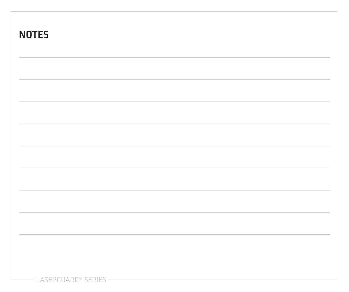| <b>NOTES</b> |  |  |  |
|--------------|--|--|--|
|              |  |  |  |
|              |  |  |  |
|              |  |  |  |
|              |  |  |  |
|              |  |  |  |
|              |  |  |  |
|              |  |  |  |
|              |  |  |  |
|              |  |  |  |
|              |  |  |  |
|              |  |  |  |